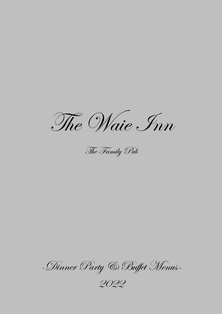The Waie Inn

The Family Pub

-Dinner Party & Buffet Menus-

2022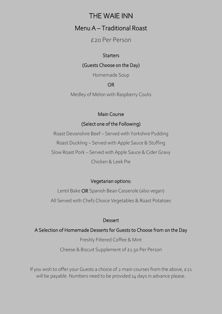# THE WAIE INN

## Menu A – Traditional Roast

£20 Per Person

#### **Starters**

#### (Guests Choose on the Day)

Homemade Soup

#### OR

Medley of Melon with Raspberry Coulis

#### Main Course

### (Select one of the Following)

Roast Devonshire Beef – Served with Yorkshire Pudding Roast Duckling – Served with Apple Sauce & Stuffing Slow Roast Pork – Served with Apple Sauce & Cider Gravy Chicken & Leek Pie

### Vegetarian options:

Lentil Bake OR Spanish Bean Casserole (also vegan) All Served with Chefs Choice Vegetables & Roast Potatoes

### **Dessert**

### A Selection of Homemade Desserts for Guests to Choose from on the Day

Freshly Filtered Coffee & Mint

Cheese & Biscuit Supplement of £1.50 Per Person

If you wish to offer your Guests a choice of 2 main courses from the above, £21 will be payable. Numbers need to be provided 14 days in advance please.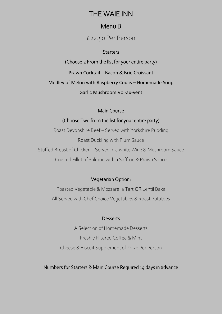## THE WAIE INN

### Menu B

£22.50 Per Person

#### **Starters**

(Choose 2 From the list for your entire party)

Prawn Cocktail – Bacon & Brie Croissant

Medley of Melon with Raspberry Coulis – Homemade Soup

Garlic Mushroom Vol-au-vent

### Main Course

### (Choose Two from the list for your entire party)

Roast Devonshire Beef – Served with Yorkshire Pudding Roast Duckling with Plum Sauce Stuffed Breast of Chicken – Served in a white Wine & Mushroom Sauce Crusted Fillet of Salmon with a Saffron & Prawn Sauce

### Vegetarian Option:

Roasted Vegetable & Mozzarella Tart OR Lentil Bake All Served with Chef Choice Vegetables & Roast Potatoes

### **Desserts**

A Selection of Homemade Desserts Freshly Filtered Coffee & Mint Cheese & Biscuit Supplement of £1.50 Per Person

### Numbers for Starters & Main Course Required 14 days in advance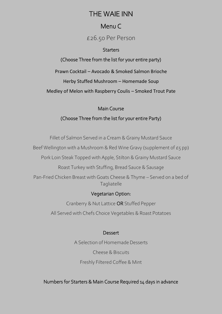## THE WAIE INN

### Menu C

#### $\overline{\phantom{0}}$ £26.50 Per Person

#### **Starters**

(Choose Three from the list for your entire party)

Prawn Cocktail – Avocado & Smoked Salmon Brioche

Herby Stuffed Mushroom – Homemade Soup

Medley of Melon with Raspberry Coulis – Smoked Trout Pate

### Main Course

### (Choose Three from the list for your entire Party)

Fillet of Salmon Served in a Cream & Grainy Mustard Sauce

Beef Wellington with a Mushroom & Red Wine Gravy (supplement of  $E_5$  pp)

Pork Loin Steak Topped with Apple, Stilton & Grainy Mustard Sauce

Roast Turkey with Stuffing, Bread Sauce & Sausage

Pan-Fried Chicken Breast with Goats Cheese & Thyme – Served on a bed of **Tagliatelle** 

### Vegetarian Option:

Cranberry & Nut Lattice OR Stuffed Pepper All Served with Chefs Choice Vegetables & Roast Potatoes

### **Dessert**

A Selection of Homemade Desserts Cheese & Biscuits Freshly Filtered Coffee & Mint

Numbers for Starters & Main Course Required 14 days in advance